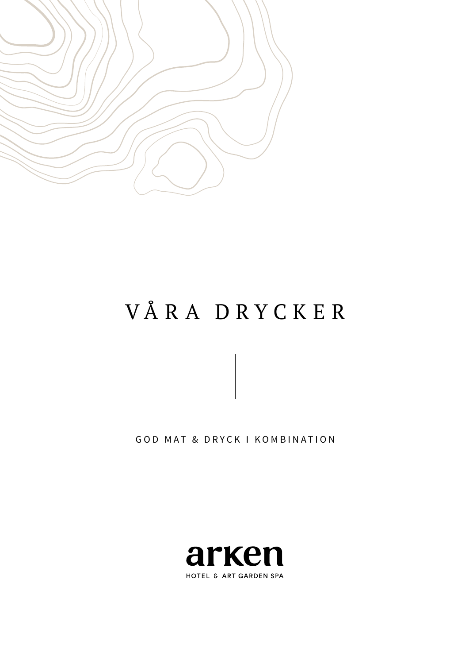

# VÅ R A DRYCK ER

GOD MAT & DRYCK I KOMBINATION

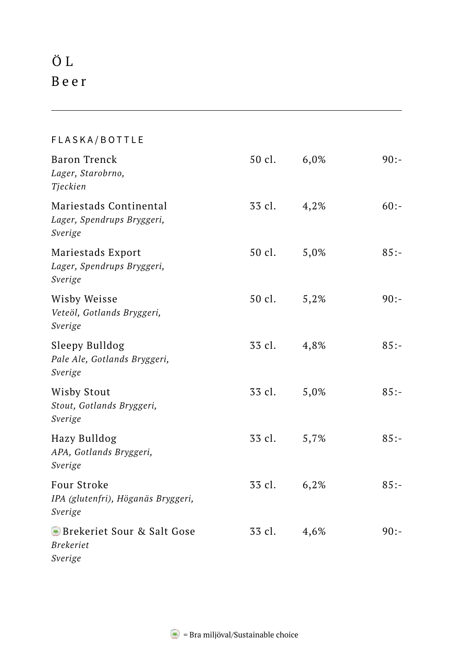# Ö L B e e r

#### FLASKA/BOTTLE Baron Trenck 50 cl. 6,0% 90:-*Lager, Starobrno, Tjeckien*  Mariestads Continental 33 cl. 4,2% 60:-*Lager, Spendrups Bryggeri, Sverige*  Mariestads Export 50 cl. 5,0% 85:-*Lager, Spendrups Bryggeri, Sverige* Wisby Weisse 50 cl. 5,2% 90:-*Veteöl, Gotlands Bryggeri, Sverige*  Sleepy Bulldog 33 cl. 4,8% 85:-*Pale Ale, Gotlands Bryggeri, Sverige* Wisby Stout 33 cl. 5,0% 85:-*Stout, Gotlands Bryggeri, Sverige*  Hazy Bulldog 33 cl. 5,7% 85:- *APA, Gotlands Bryggeri, Sverige* Four Stroke 33 cl. 6,2% 85:-*IPA (glutenfri), Höganäs Bryggeri, Sverige* Brekeriet Sour & Salt Gose 33 cl. 4,6% 90:-*Brekeriet Sverige*

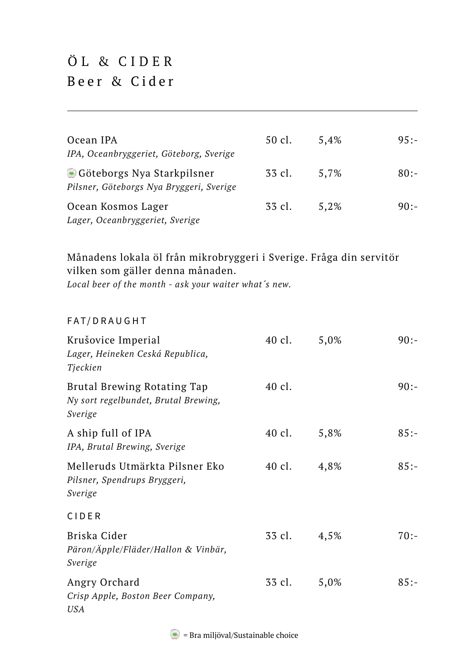## ÖL & CIDER Beer & Cider

| Ocean IPA<br>IPA, Oceanbryggeriet, Göteborg, Sverige                   | 50 cl. | 5.4% | $95: -$ |
|------------------------------------------------------------------------|--------|------|---------|
| Göteborgs Nya Starkpilsner<br>Pilsner, Göteborgs Nya Bryggeri, Sverige | 33 cl. | 5.7% | $80:-$  |
| Ocean Kosmos Lager<br>Lager, Oceanbryggeriet, Sverige                  | 33 cl. | 5.2% | $90:-$  |

#### Månadens lokala öl från mikrobryggeri i Sverige. Fråga din servitör vilken som gäller denna månaden.

*Local beer of the month - ask your waiter what´s new.*

#### FAT/DRAUGHT

| Krušovice Imperial<br>Lager, Heineken Ceská Republica,<br>Tjeckien             | 40 cl. | 5,0% | $90:-$  |
|--------------------------------------------------------------------------------|--------|------|---------|
| Brutal Brewing Rotating Tap<br>Ny sort regelbundet, Brutal Brewing,<br>Sverige | 40 cl. |      | $90:-$  |
| A ship full of IPA<br>IPA, Brutal Brewing, Sverige                             | 40 cl. | 5,8% | $85:-$  |
| Melleruds Utmärkta Pilsner Eko<br>Pilsner, Spendrups Bryggeri,<br>Sverige      | 40 cl. | 4,8% | $85:-$  |
| <b>CIDER</b>                                                                   |        |      |         |
| Briska Cider<br>Päron/Äpple/Fläder/Hallon & Vinbär,<br>Sverige                 | 33 cl. | 4,5% | $70:-$  |
| Angry Orchard<br>Crisp Apple, Boston Beer Company,<br>USA                      | 33 cl. | 5,0% | $85: -$ |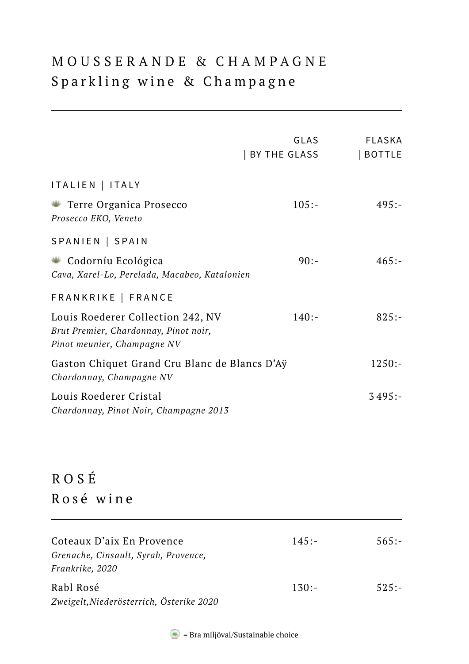#### MOUSSERANDE & CHAMPAGNE Sparkling wine & Champagne

|                                                                                                                                 | GLAS<br>  BY THE GLASS | FLASKA<br>  BOTTLE |
|---------------------------------------------------------------------------------------------------------------------------------|------------------------|--------------------|
| ITALIEN   ITALY<br>Terre Organica Prosecco<br>Prosecco EKO, Veneto                                                              | $105:-$                | $495: -$           |
| SPANIEN   SPAIN<br>Codorníu Ecológica<br>Cava, Xarel-Lo, Perelada, Macabeo, Katalonien                                          | $90:-$                 | $465: -$           |
| FRANKRIKE   FRANCE<br>Louis Roederer Collection 242, NV<br>Brut Premier, Chardonnay, Pinot noir,<br>Pinot meunier, Champagne NV | $140:-$                | $825: -$           |
| Gaston Chiquet Grand Cru Blanc de Blancs D'Ay<br>Chardonnay, Champagne NV                                                       |                        | $1250:-$           |
| Louis Roederer Cristal<br>Chardonnay, Pinot Noir, Champagne 2013                                                                |                        | $3495:-$           |

## ROSÉ Rosé wine

| Coteaux D'aix En Provence                | 145:    | $565: -$ |
|------------------------------------------|---------|----------|
| Grenache, Cinsault, Syrah, Provence,     |         |          |
| Frankrike, 2020                          |         |          |
| Rabl Rosé                                | $130:-$ | $525: -$ |
| Zweigelt, Niederösterrich, Österike 2020 |         |          |

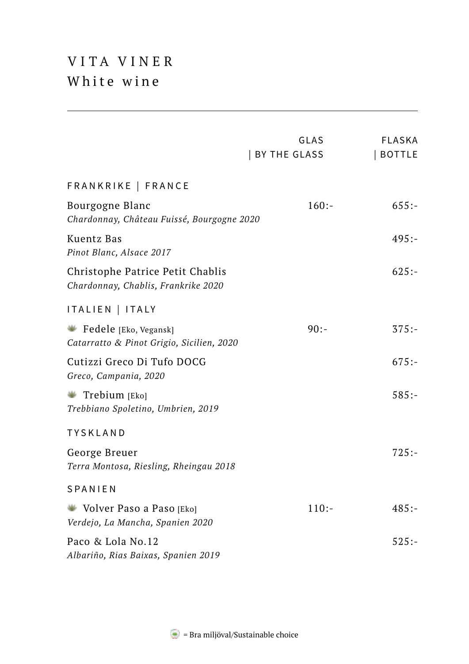#### VITA VINER White wine

|                                                                         | GLAS<br>  BY THE GLASS | <b>FLASKA</b><br>  BOTTLE |
|-------------------------------------------------------------------------|------------------------|---------------------------|
| FRANKRIKE   FRANCE                                                      |                        |                           |
| Bourgogne Blanc<br>Chardonnay, Château Fuissé, Bourgogne 2020           | $160: -$               | 655:                      |
| Kuentz Bas<br>Pinot Blanc, Alsace 2017                                  |                        | $495: -$                  |
| Christophe Patrice Petit Chablis<br>Chardonnay, Chablis, Frankrike 2020 |                        | $625: -$                  |
| ITALIEN   ITALY                                                         |                        |                           |
| Fedele [Eko, Vegansk]<br>Catarratto & Pinot Grigio, Sicilien, 2020      | $90:-$                 | $375: -$                  |
| Cutizzi Greco Di Tufo DOCG<br>Greco, Campania, 2020                     |                        | $675: -$                  |
| Trebium [Eko]<br>÷<br>Trebbiano Spoletino, Umbrien, 2019                |                        | $585: -$                  |
| TYSKLAND                                                                |                        |                           |
| George Breuer<br>Terra Montosa, Riesling, Rheingau 2018                 |                        | $725: -$                  |
| SPANIEN                                                                 |                        |                           |
| Volver Paso a Paso [Eko]<br>Verdejo, La Mancha, Spanien 2020            | $110:-$                | $485: -$                  |
| Paco & Lola No.12<br>Albariño, Rias Baixas, Spanien 2019                |                        | $525: -$                  |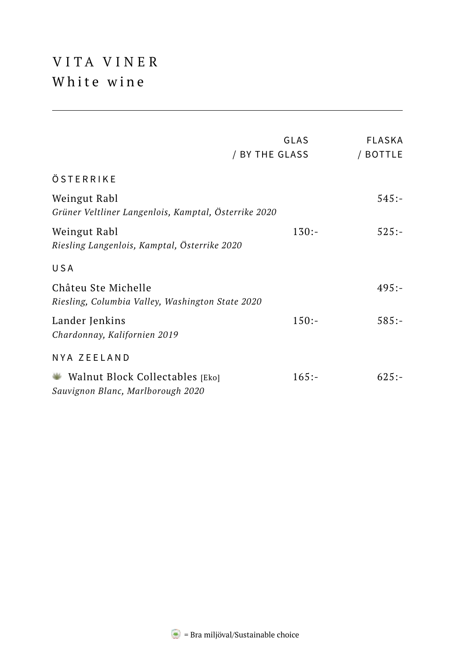## VITA VINER White wine

|                                                                         | GLAS<br>/ BY THE GLASS | <b>FLASKA</b><br>/ BOTTLE |
|-------------------------------------------------------------------------|------------------------|---------------------------|
| ÖSTERRIKE                                                               |                        |                           |
| Weingut Rabl<br>Grüner Veltliner Langenlois, Kamptal, Österrike 2020    |                        | $545: -$                  |
| Weingut Rabl<br>Riesling Langenlois, Kamptal, Österrike 2020            | $130:-$                | $525: -$                  |
| USA                                                                     |                        |                           |
| Châteu Ste Michelle<br>Riesling, Columbia Valley, Washington State 2020 |                        | $495: -$                  |
| Lander Jenkins<br>Chardonnay, Kalifornien 2019                          | $150:-$                | $585: -$                  |
| NYA ZEELAND                                                             |                        |                           |
| Walnut Block Collectables [Eko]<br>Sauvignon Blanc, Marlborough 2020    | $165: -$               | $625: -$                  |

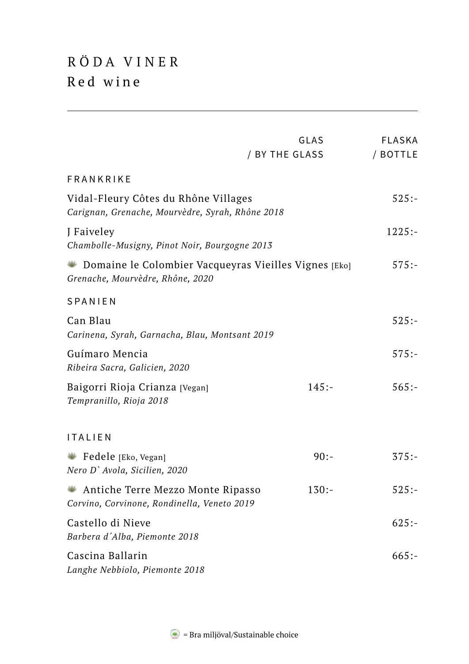## RÖDA VINER Red wine

|                                                                                                      | GLAS           | <b>FLASKA</b> |
|------------------------------------------------------------------------------------------------------|----------------|---------------|
|                                                                                                      | / BY THE GLASS | / BOTTLE      |
| FRANKRIKE                                                                                            |                |               |
| Vidal-Fleury Côtes du Rhône Villages<br>Carignan, Grenache, Mourvèdre, Syrah, Rhône 2018             |                | $525: -$      |
| J Faiveley<br>Chambolle-Musigny, Pinot Noir, Bourgogne 2013                                          |                | $1225: -$     |
| Domaine le Colombier Vacqueyras Vieilles Vignes [Eko]<br>and the<br>Grenache, Mourvèdre, Rhône, 2020 |                | $575: -$      |
| SPANIEN                                                                                              |                |               |
| Can Blau<br>Carinena, Syrah, Garnacha, Blau, Montsant 2019                                           |                | $525: -$      |
| Guímaro Mencia<br>Ribeira Sacra, Galicien, 2020                                                      |                | $575: -$      |
| Baigorri Rioja Crianza [Vegan]<br>Tempranillo, Rioja 2018                                            | $145: -$       | $565: -$      |
| <b>ITALIEN</b>                                                                                       |                |               |
| Fedele [Eko, Vegan]<br>Nero D' Avola, Sicilien, 2020                                                 | $90: -$        | $375: -$      |
| Antiche Terre Mezzo Monte Ripasso<br>÷<br>Corvino, Corvinone, Rondinella, Veneto 2019                | $130:-$        | $525: -$      |
| Castello di Nieve<br>Barbera d'Alba, Piemonte 2018                                                   |                | $625: -$      |
| Cascina Ballarin<br>Langhe Nebbiolo, Piemonte 2018                                                   |                | $665: -$      |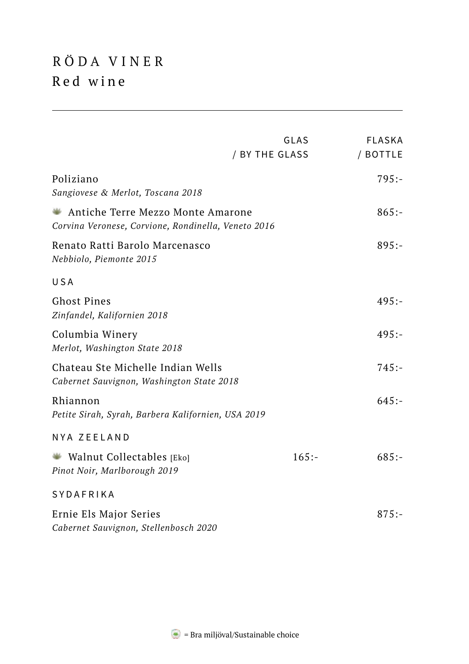## RÖDA VINER Red wine

|                                                                                          | GLAS<br>/ BY THE GLASS | <b>FLASKA</b><br>/ BOTTLE |
|------------------------------------------------------------------------------------------|------------------------|---------------------------|
| Poliziano<br>Sangiovese & Merlot, Toscana 2018                                           |                        | $795: -$                  |
| Antiche Terre Mezzo Monte Amarone<br>Corvina Veronese, Corvione, Rondinella, Veneto 2016 |                        | $865: -$                  |
| Renato Ratti Barolo Marcenasco<br>Nebbiolo, Piemonte 2015                                |                        | $895:-$                   |
| USA                                                                                      |                        |                           |
| <b>Ghost Pines</b><br>Zinfandel, Kalifornien 2018                                        |                        | $495: -$                  |
| Columbia Winery<br>Merlot, Washington State 2018                                         |                        | $495: -$                  |
| Chateau Ste Michelle Indian Wells<br>Cabernet Sauvignon, Washington State 2018           |                        | $745: -$                  |
| Rhiannon<br>Petite Sirah, Syrah, Barbera Kalifornien, USA 2019                           |                        | $645: -$                  |
| NYA ZEELAND                                                                              |                        |                           |
| Walnut Collectables [Eko]<br>Pinot Noir, Marlborough 2019                                | $165: -$               | $685: -$                  |
| <b>SYDAFRIKA</b>                                                                         |                        |                           |
| Ernie Els Major Series<br>Cabernet Sauvignon, Stellenbosch 2020                          |                        | $875: -$                  |

 $\blacktriangleright$  = Bra miljöval/Sustainable choice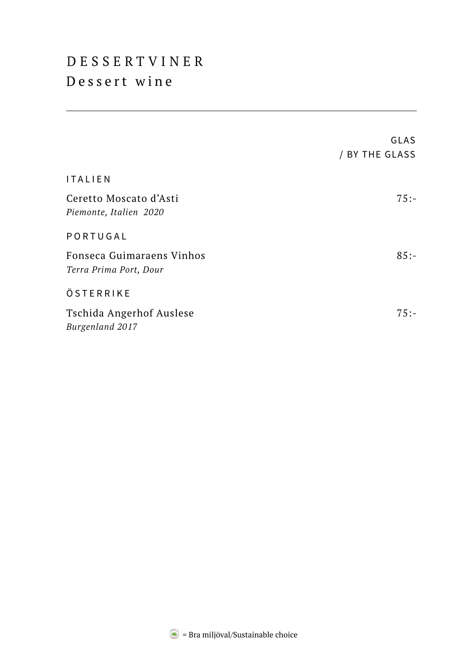#### DESSERTVINER Dessert wine

|                                                     | GLAS<br>/ BY THE GLASS |
|-----------------------------------------------------|------------------------|
| ITALIEN                                             |                        |
| Ceretto Moscato d'Asti<br>Piemonte, Italien 2020    | $75: -$                |
| PORTUGAL                                            |                        |
| Fonseca Guimaraens Vinhos<br>Terra Prima Port, Dour | $85:-$                 |
| ÖSTERRIKE                                           |                        |
| Tschida Angerhof Auslese<br>Burgenland 2017         | $75: -$                |

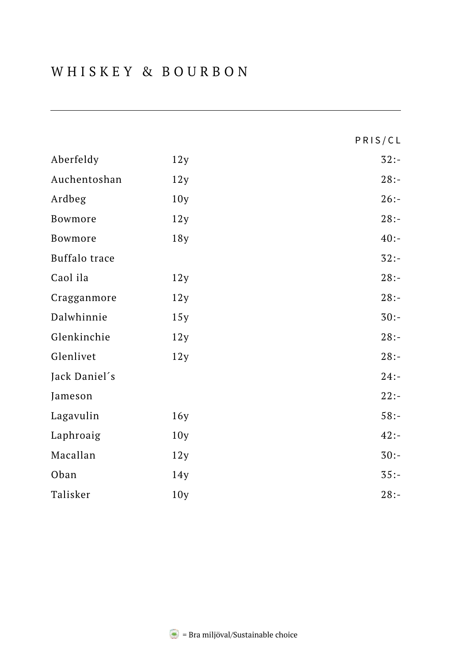|               |     | PRIS/CL |
|---------------|-----|---------|
| Aberfeldy     | 12y | $32: -$ |
| Auchentoshan  | 12y | $28: -$ |
| Ardbeg        | 10y | $26: -$ |
| Bowmore       | 12y | $28: -$ |
| Bowmore       | 18y | $40: -$ |
| Buffalo trace |     | $32: -$ |
| Caol ila      | 12y | $28: -$ |
| Cragganmore   | 12y | $28: -$ |
| Dalwhinnie    | 15y | $30:-$  |
| Glenkinchie   | 12y | $28: -$ |
| Glenlivet     | 12y | $28: -$ |
| Jack Daniel's |     | $24: -$ |
| Jameson       |     | $22: -$ |
| Lagavulin     | 16y | $58: -$ |
| Laphroaig     | 10y | $42: -$ |
| Macallan      | 12y | $30: -$ |
| Oban          | 14y | $35: -$ |
| Talisker      | 10y | $28: -$ |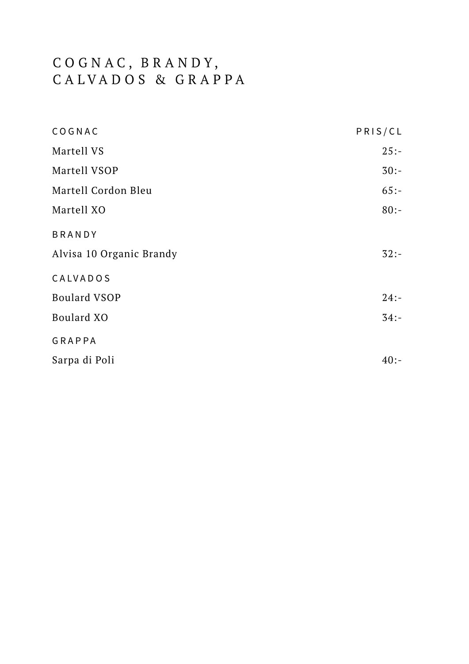#### C O G N A C , B R A N D Y , CALVADOS & GRAPPA

| COGNAC                   | PRIS/CL |
|--------------------------|---------|
| Martell VS               | $25: -$ |
| Martell VSOP             | $30:-$  |
| Martell Cordon Bleu      | $65: -$ |
| Martell XO               | $80:-$  |
| <b>BRANDY</b>            |         |
| Alvisa 10 Organic Brandy | $32: -$ |
| CALVADOS                 |         |
| Boulard VSOP             | $24: -$ |
| Boulard XO               | $34: -$ |
| GRAPPA                   |         |
| Sarpa di Poli            | $40: -$ |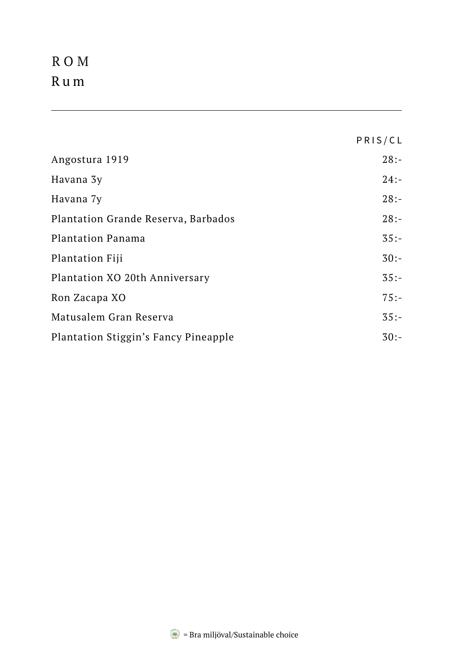## ROM Rum

|                                      | PRIS/CL |
|--------------------------------------|---------|
| Angostura 1919                       | $28: -$ |
| Havana 3y                            | $24: -$ |
| Havana 7y                            | $28: -$ |
| Plantation Grande Reserva, Barbados  | $28: -$ |
| Plantation Panama                    | $35: -$ |
| <b>Plantation Fiji</b>               | $30:-$  |
| Plantation XO 20th Anniversary       | $35: -$ |
| Ron Zacapa XO                        | $75: -$ |
| Matusalem Gran Reserva               | $35: -$ |
| Plantation Stiggin's Fancy Pineapple | $30:-$  |

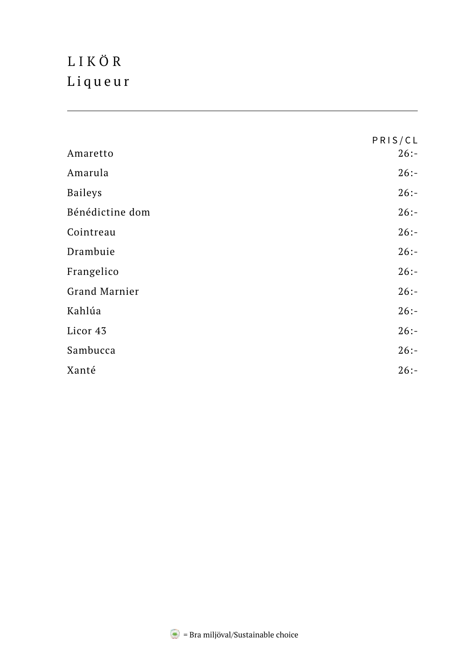## LIKÖR Liqueur

|                 | PRIS/CL |
|-----------------|---------|
| Amaretto        | $26: -$ |
| Amarula         | $26: -$ |
| <b>Baileys</b>  | $26: -$ |
| Bénédictine dom | $26: -$ |
| Cointreau       | $26: -$ |
| Drambuie        | $26: -$ |
| Frangelico      | $26: -$ |
| Grand Marnier   | $26: -$ |
| Kahlúa          | $26: -$ |
| Licor 43        | $26: -$ |
| Sambucca        | $26: -$ |
| Xanté           | $26: -$ |

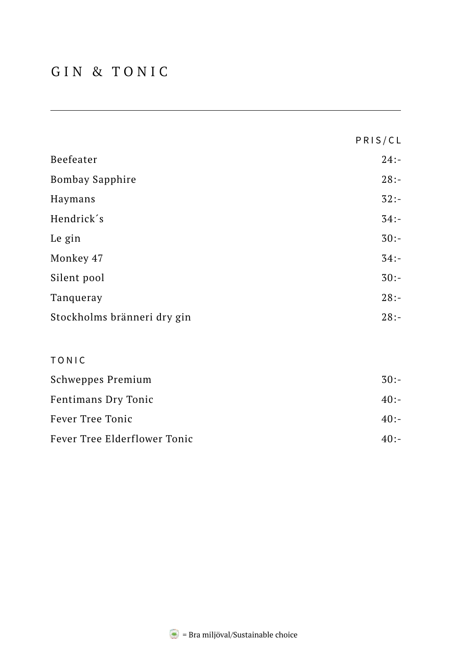#### GIN & TONIC

|                             | PRIS/CL |
|-----------------------------|---------|
| Beefeater                   | $24: -$ |
| <b>Bombay Sapphire</b>      | $28: -$ |
| Haymans                     | $32: -$ |
| Hendrick's                  | $34: -$ |
| Le gin                      | $30:-$  |
| Monkey 47                   | $34: -$ |
| Silent pool                 | $30:-$  |
| Tanqueray                   | $28: -$ |
| Stockholms bränneri dry gin | $28: -$ |
| TONIC                       |         |
| Schweppes Premium           | $30:-$  |
| Fentimans Dry Tonic         | $40: -$ |
| Fever Tree Tonic            | $40: -$ |

Fever Tree Elderflower Tonic 40:-

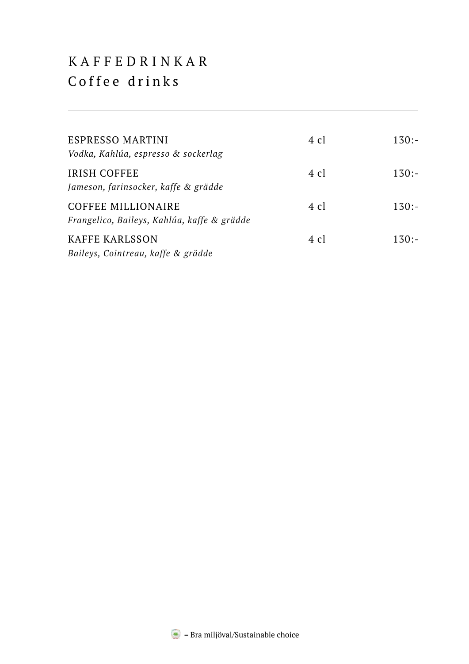#### K A F F E D R I N K A R Coffee drinks

| ESPRESSO MARTINI<br>Vodka, Kahlúa, espresso & sockerlag                  | 4 cl           | $130:-$ |
|--------------------------------------------------------------------------|----------------|---------|
| IRISH COFFEE<br>Jameson, farinsocker, kaffe & grädde                     | 4 cl           | $130:-$ |
| <b>COFFEE MILLIONAIRE</b><br>Frangelico, Baileys, Kahlúa, kaffe & grädde | 4 cl           | $130:-$ |
| KAFFE KARLSSON<br>Baileys, Cointreau, kaffe & grädde                     | $4 \text{ cl}$ | $130:-$ |